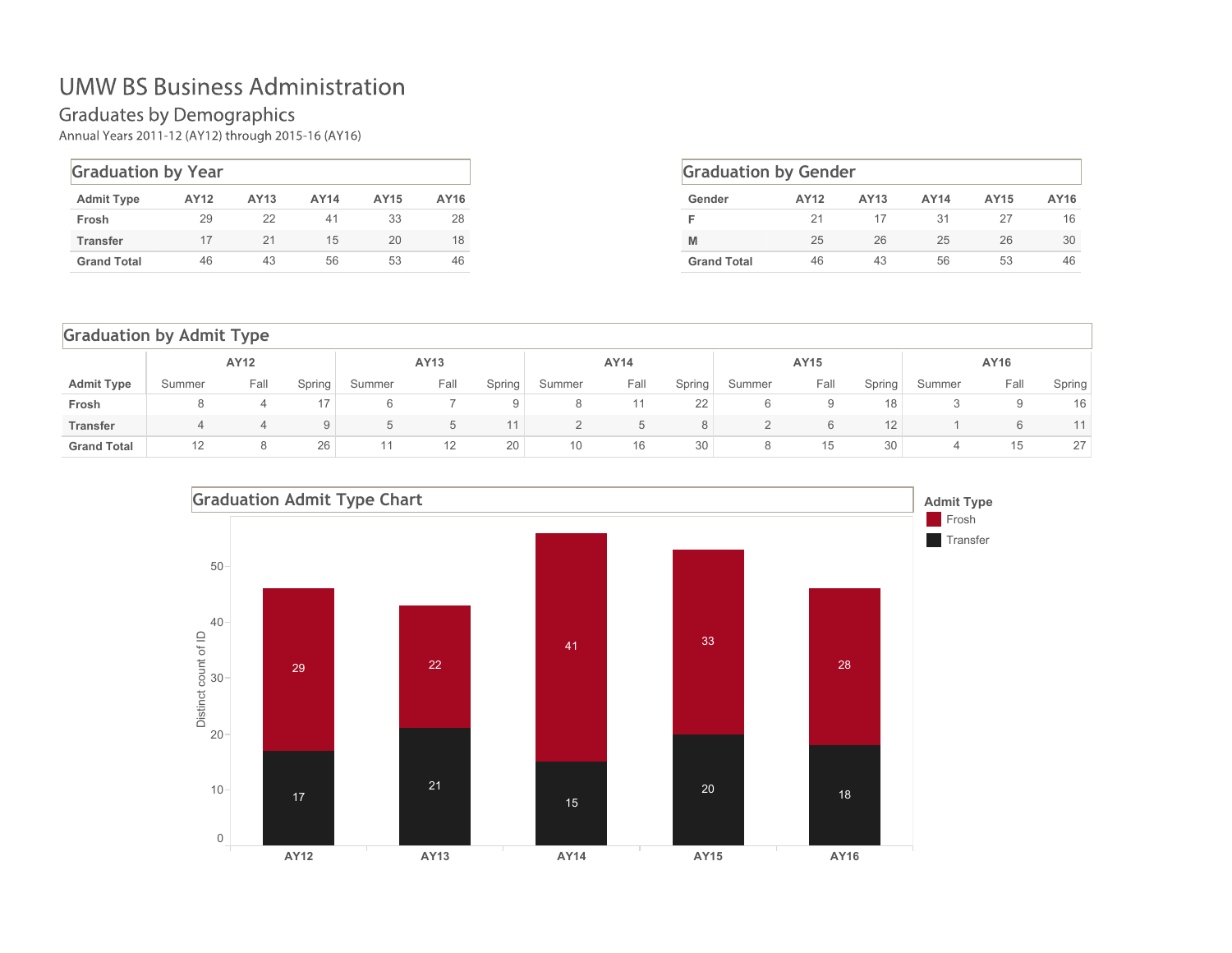Graduates by Demographics<br>Annual Years 2011-12 (AY12) through 2015-16 (AY16)

| <b>Graduation by Year</b> |      |      |             |      |      |
|---------------------------|------|------|-------------|------|------|
| <b>Admit Type</b>         | AY12 | AY13 | <b>AY14</b> | AY15 | AY16 |
| Frosh                     | 29   | 22   | 41          | 33   | 28   |
| <b>Transfer</b>           | 17   | 21   | 15          | 20   | 18   |
| <b>Grand Total</b>        | 46   | 43   | 56          | 53   | 46   |

| <b>Graduation by Gender</b> |      |      |             |      |      |  |  |  |  |  |
|-----------------------------|------|------|-------------|------|------|--|--|--|--|--|
| Gender                      | AY12 | AY13 | <b>AY14</b> | AY15 | AY16 |  |  |  |  |  |
|                             | 21   | 17   | 31          | 27   | 16   |  |  |  |  |  |
| M                           | 25   | 26   | 25          | 26   | 30   |  |  |  |  |  |
| <b>Grand Total</b>          | 46   | 43   | 56          | 53   | 46   |  |  |  |  |  |

| <b>Graduation by Admit Type</b> |        |                |                 |        |      |        |        |         |        |        |      |        |        |      |        |
|---------------------------------|--------|----------------|-----------------|--------|------|--------|--------|---------|--------|--------|------|--------|--------|------|--------|
|                                 |        | AY12           |                 |        | AY13 |        |        | AY14    |        |        | AY15 |        |        | AY16 |        |
| <b>Admit Type</b>               | Summer | Fall           | Spring          | Summer | Fall | Spring | Summer | Fall    | Spring | Summer | Fall | Spring | Summer | Fall | Spring |
| Frosh                           | 8      | 4              | 17 <sup>1</sup> | 6      |      | 9      | 8      |         | 22     | 6      | 9    | 18     | 3      | 9    | 16     |
| <b>Transfer</b>                 | 4      | $\overline{a}$ | 9               | b      | b    |        |        | $\circ$ | 8      |        | 6    | 12     |        | 6    |        |
| <b>Grand Total</b>              | 12     | 8              | 26              |        | 12   | 20     | 10     | 16      | 30     | 8      | 15   | 30     |        | 15   | 27     |

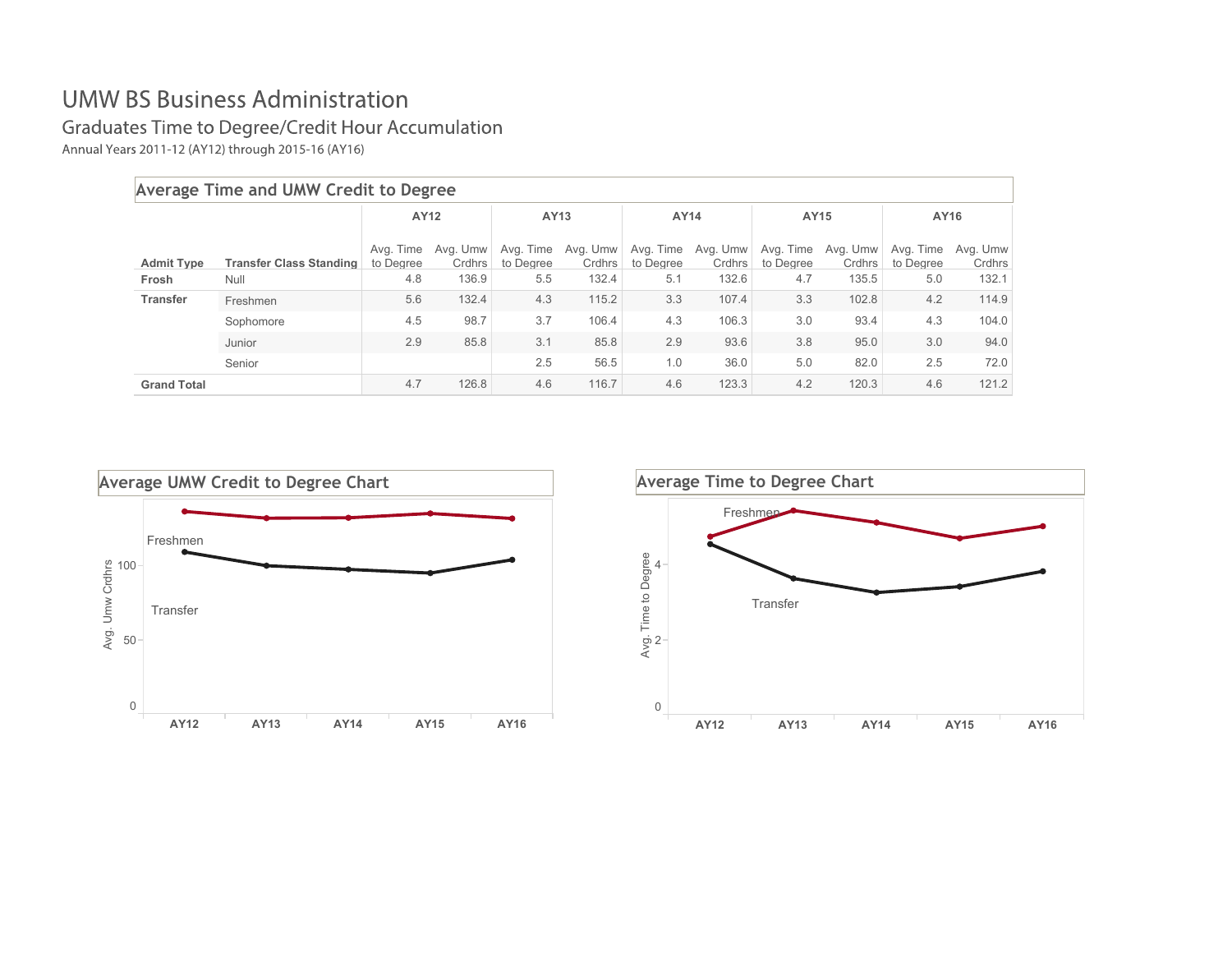Graduates Time to Degree/Credit Hour Accumulation

Annual Years 2011-12 (AY12) through 2015-16 (AY16)

|                    | Average Time and UMW Credit to Degree |                        |                    |                        |                    |                        |                    |                        |                    |                        |                    |
|--------------------|---------------------------------------|------------------------|--------------------|------------------------|--------------------|------------------------|--------------------|------------------------|--------------------|------------------------|--------------------|
|                    |                                       | AY12                   |                    | AY13                   |                    | AY14                   |                    | AY15                   |                    | AY16                   |                    |
| <b>Admit Type</b>  | <b>Transfer Class Standing</b>        | Avg. Time<br>to Degree | Avg. Umw<br>Crdhrs | Avg. Time<br>to Degree | Avg. Umw<br>Crdhrs | Avg. Time<br>to Degree | Avg. Umw<br>Crdhrs | Avg. Time<br>to Degree | Avg. Umw<br>Crdhrs | Avg. Time<br>to Degree | Avg. Umw<br>Crdhrs |
| Frosh              | Null                                  | 4.8                    | 136.9              | 5.5                    | 132.4              | 5.1                    | 132.6              | 4.7                    | 135.5              | 5.0                    | 132.1              |
| <b>Transfer</b>    | Freshmen                              | 5.6                    | 132.4              | 4.3                    | 115.2              | 3.3                    | 107.4              | 3.3                    | 102.8              | 4.2                    | 114.9              |
|                    | Sophomore                             | 4.5                    | 98.7               | 3.7                    | 106.4              | 4.3                    | 106.3              | 3.0                    | 93.4               | 4.3                    | 104.0              |
|                    | Junior                                | 2.9                    | 85.8               | 3.1                    | 85.8               | 2.9                    | 93.6               | 3.8                    | 95.0               | 3.0                    | 94.0               |
|                    | Senior                                |                        |                    | 2.5                    | 56.5               | 1.0                    | 36.0               | 5.0                    | 82.0               | 2.5                    | 72.0               |
| <b>Grand Total</b> |                                       | 4.7                    | 126.8              | 4.6                    | 116.7              | 4.6                    | 123.3              | 4.2                    | 120.3              | 4.6                    | 121.2              |



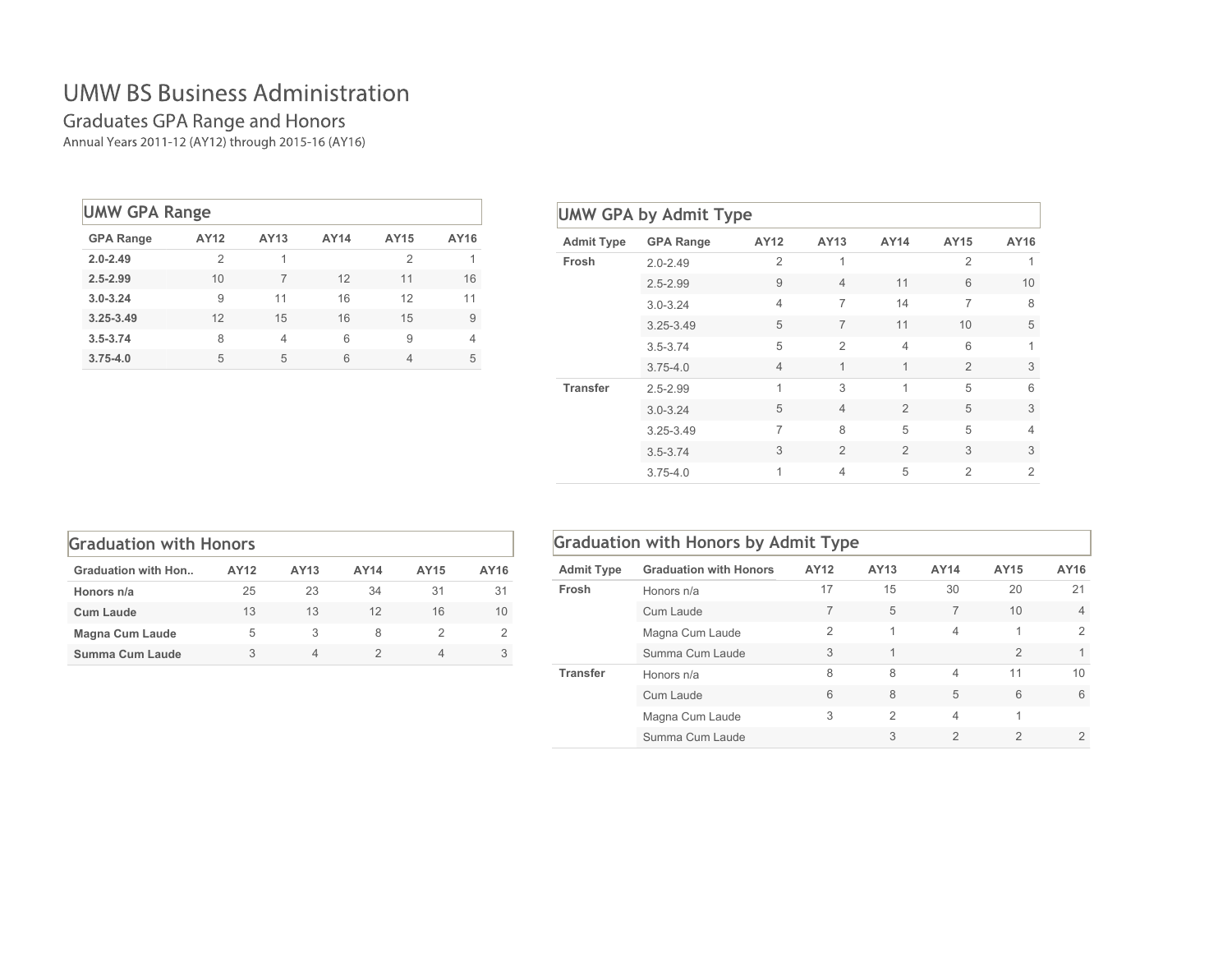# Graduates GPA Range and Honors<br>Annual Years 2011-12 (AY12) through 2015-16 (AY16)

| <b>UMW GPA Range</b> |      |      |      |                |      |
|----------------------|------|------|------|----------------|------|
| <b>GPA Range</b>     | AY12 | AY13 | AY14 | AY15           | AY16 |
| $2.0 - 2.49$         | 2    | 1    |      | 2              | 1    |
| $2.5 - 2.99$         | 10   | 7    | 12   | 11             | 16   |
| $3.0 - 3.24$         | 9    | 11   | 16   | 12             | 11   |
| $3.25 - 3.49$        | 12   | 15   | 16   | 15             | 9    |
| $3.5 - 3.74$         | 8    | 4    | 6    | 9              | 4    |
| $3.75 - 4.0$         | 5    | 5    | 6    | $\overline{4}$ | 5    |

| <b>Admit Type</b> | <b>GPA Range</b> | AY12           | AY13           | AY14           | AY15           | AY16           |
|-------------------|------------------|----------------|----------------|----------------|----------------|----------------|
| Frosh             | $2.0 - 2.49$     | $\overline{2}$ | $\mathbf 1$    |                | $\overline{2}$ | 1              |
|                   | $2.5 - 2.99$     | 9              | $\overline{4}$ | 11             | 6              | 10             |
|                   | $3.0 - 3.24$     | $\overline{4}$ | $\overline{7}$ | 14             | $\overline{7}$ | 8              |
|                   | 3.25-3.49        | 5              | 7              | 11             | 10             | 5              |
|                   | $3.5 - 3.74$     | 5              | $\overline{2}$ | $\overline{4}$ | 6              | 1              |
|                   | $3.75 - 4.0$     | $\overline{4}$ | 1              | 1              | $\mathfrak{D}$ | 3              |
| <b>Transfer</b>   | $2.5 - 2.99$     | 1              | 3              | 1              | 5              | 6              |
|                   | $3.0 - 3.24$     | 5              | $\overline{4}$ | $\overline{2}$ | 5              | 3              |
|                   | 3.25-3.49        | 7              | 8              | 5              | 5              | $\overline{4}$ |
|                   | $3.5 - 3.74$     | 3              | $\overline{2}$ | $\overline{2}$ | 3              | 3              |
|                   | $3.75 - 4.0$     | $\mathbf 1$    | $\overline{4}$ | 5              | $\mathfrak{D}$ | $\overline{2}$ |

| <b>Graduation with Honors</b> |      |      |      |      |      |  |  |  |  |  |  |  |
|-------------------------------|------|------|------|------|------|--|--|--|--|--|--|--|
| <b>Graduation with Hon</b>    | AY12 | AY13 | AY14 | AY15 | AY16 |  |  |  |  |  |  |  |
| Honors n/a                    | 25   | 23   | 34   | 31   | 31   |  |  |  |  |  |  |  |
| <b>Cum Laude</b>              | 13   | 13   | 12   | 16   | 10   |  |  |  |  |  |  |  |
| <b>Magna Cum Laude</b>        | 5    | 3    | 8    |      | 2    |  |  |  |  |  |  |  |
| Summa Cum Laude               | 3    | 4    |      |      |      |  |  |  |  |  |  |  |

|                   | <b>Graduation with Honors by Admit Type</b> |                |               |                |                |                |  |  |  |  |
|-------------------|---------------------------------------------|----------------|---------------|----------------|----------------|----------------|--|--|--|--|
| <b>Admit Type</b> | <b>Graduation with Honors</b>               | AY12           | AY13          | AY14           | AY15           | AY16           |  |  |  |  |
| Frosh             | Honors n/a                                  | 17             | 15            | 30             | 20             | 21             |  |  |  |  |
|                   | Cum Laude                                   | 7              | 5             | 7              | 10             | $\overline{4}$ |  |  |  |  |
|                   | Magna Cum Laude                             | $\overline{2}$ | 1             | 4              | 1              | $\mathcal{P}$  |  |  |  |  |
|                   | Summa Cum Laude                             | 3              | $\mathbf{1}$  |                | $\overline{2}$ | 1              |  |  |  |  |
| <b>Transfer</b>   | Honors n/a                                  | 8              | 8             | $\overline{4}$ | 11             | 10             |  |  |  |  |
|                   | Cum Laude                                   | 6              | 8             | 5              | 6              | 6              |  |  |  |  |
|                   | Magna Cum Laude                             | 3              | $\mathcal{P}$ | $\overline{4}$ | 1              |                |  |  |  |  |
|                   | Summa Cum Laude                             |                | 3             | $\overline{2}$ | $\overline{2}$ | $\overline{2}$ |  |  |  |  |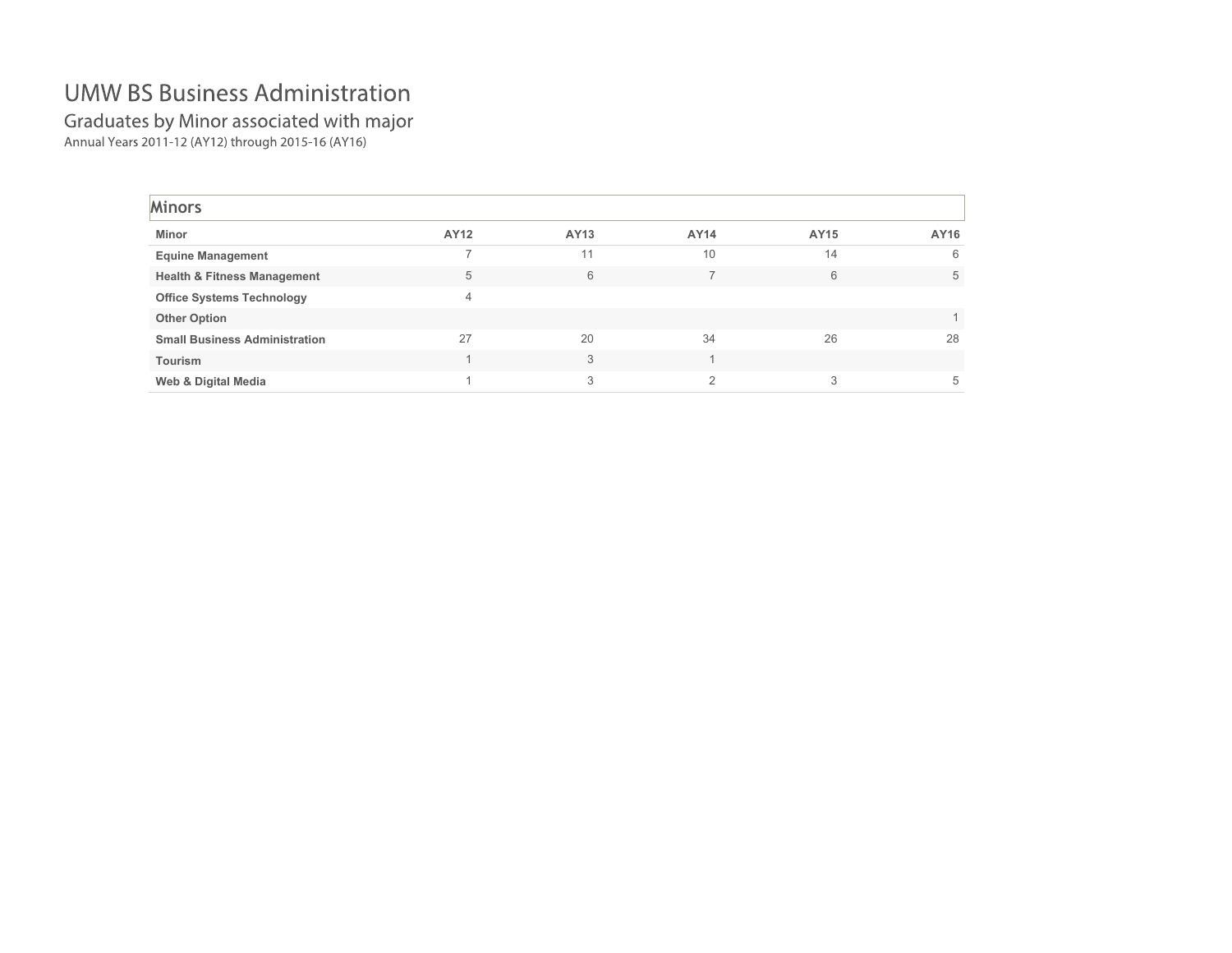Graduates by Minor associated with major<br>Annual Years 2011-12 (AY12) through 2015-16 (AY16)

| <b>Minors</b>                          |      |      |          |      |      |
|----------------------------------------|------|------|----------|------|------|
| Minor                                  | AY12 | AY13 | AY14     | AY15 | AY16 |
| <b>Equine Management</b>               |      | 11   | 10       | 14   | 6    |
| <b>Health &amp; Fitness Management</b> | 5    | 6    |          | 6    | 5    |
| <b>Office Systems Technology</b>       | 4    |      |          |      |      |
| <b>Other Option</b>                    |      |      |          |      |      |
| <b>Small Business Administration</b>   | 27   | 20   | 34       | 26   | 28   |
| <b>Tourism</b>                         |      | 3    |          |      |      |
| Web & Digital Media                    |      | 3    | $\Omega$ |      | 5    |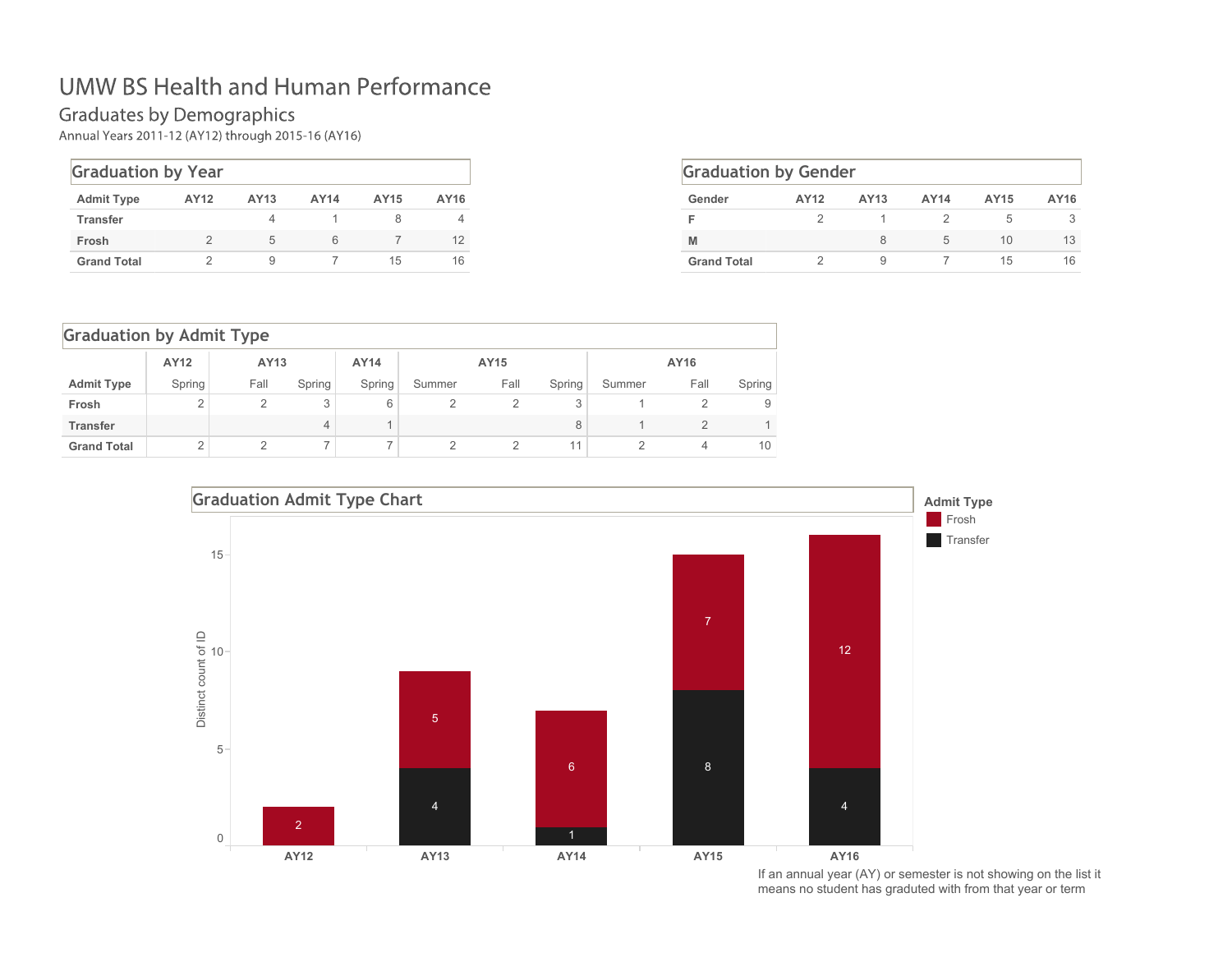### **UMW BS Health and Human Performance**

Graduates by Demographics<br>Annual Years 2011-12 (AY12) through 2015-16 (AY16)

| <b>Graduation by Year</b> |      |      |             |      |      |  |  |  |  |  |
|---------------------------|------|------|-------------|------|------|--|--|--|--|--|
| <b>Admit Type</b>         | AY12 | AY13 | <b>AY14</b> | AY15 | AY16 |  |  |  |  |  |
| <b>Transfer</b>           |      |      |             |      |      |  |  |  |  |  |
| Frosh                     | 2    | 5    | 6           |      | 12   |  |  |  |  |  |
| <b>Grand Total</b>        |      | 9    |             | 15   | 16   |  |  |  |  |  |

| <b>Graduation by Gender</b> |      |      |             |      |      |  |  |  |  |  |
|-----------------------------|------|------|-------------|------|------|--|--|--|--|--|
| Gender                      | AY12 | AY13 | <b>AY14</b> | AY15 | AY16 |  |  |  |  |  |
|                             |      |      |             | 5    |      |  |  |  |  |  |
| M                           |      | 8    | 5           | 10   | 13   |  |  |  |  |  |
| <b>Grand Total</b>          |      | 9    |             | 15   | 16   |  |  |  |  |  |

|                    | <b>Graduation by Admit Type</b> |      |        |        |        |      |        |        |      |        |  |  |  |
|--------------------|---------------------------------|------|--------|--------|--------|------|--------|--------|------|--------|--|--|--|
|                    | AY12                            | AY13 |        | AY14   |        | AY15 |        |        | AY16 |        |  |  |  |
| <b>Admit Type</b>  | Spring                          | Fall | Spring | Spring | Summer | Fall | Spring | Summer | Fall | Spring |  |  |  |
| Frosh              | 2                               |      | 3      | 6      |        |      | 3      |        |      | 9      |  |  |  |
| <b>Transfer</b>    |                                 |      | 4      |        |        |      | 8      |        |      |        |  |  |  |
| <b>Grand Total</b> | $\overline{2}$                  |      |        |        |        |      | 11     |        | 4    | 10     |  |  |  |



If an annual year (AY) or semester is not showing on the list it means no student has graduted with from that year or term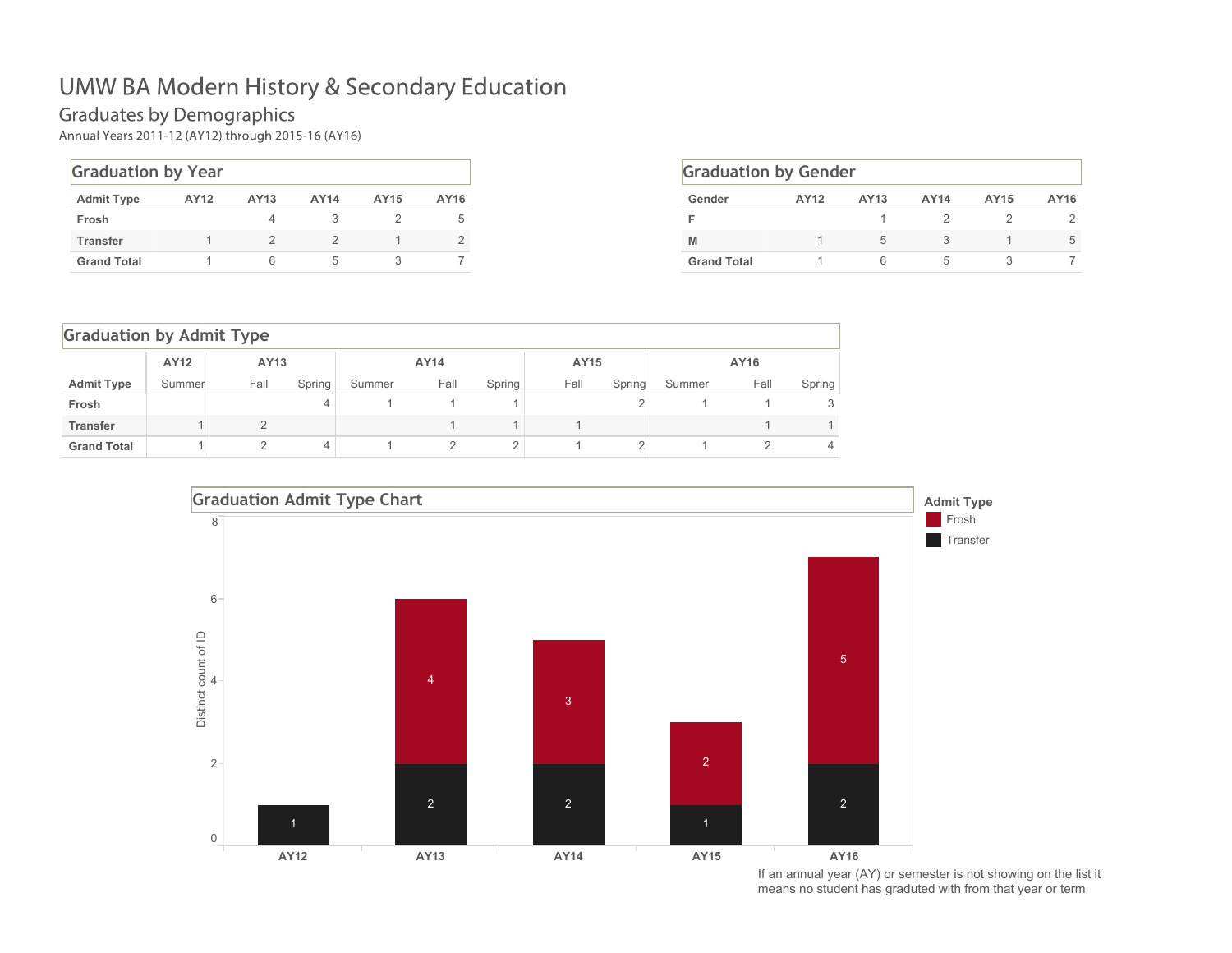#### **Graduates by Demographics**

Annual Years 2011-12 (AY12) through 2015-16 (AY16)

| <b>Graduation by Year</b> |      |      |      |      |      |  |  |  |  |  |  |  |
|---------------------------|------|------|------|------|------|--|--|--|--|--|--|--|
| <b>Admit Type</b>         | AY12 | AY13 | AY14 | AY15 | AY16 |  |  |  |  |  |  |  |
| Frosh                     |      |      |      |      | 5    |  |  |  |  |  |  |  |
| <b>Transfer</b>           |      |      |      |      | 2    |  |  |  |  |  |  |  |
| <b>Grand Total</b>        |      |      | h    |      |      |  |  |  |  |  |  |  |

| <b>Graduation by Gender</b> |      |      |      |      |      |  |  |  |  |  |  |
|-----------------------------|------|------|------|------|------|--|--|--|--|--|--|
| Gender                      | AY12 | AY13 | AY14 | AY15 | AY16 |  |  |  |  |  |  |
|                             |      |      |      |      |      |  |  |  |  |  |  |
| M                           |      | 5    |      |      | 5    |  |  |  |  |  |  |
| <b>Grand Total</b>          |      |      | 5    |      |      |  |  |  |  |  |  |

|                    | <b>Graduation by Admit Type</b> |      |                |        |      |        |      |        |        |      |        |  |
|--------------------|---------------------------------|------|----------------|--------|------|--------|------|--------|--------|------|--------|--|
|                    | AY12                            | AY13 |                |        | AY14 |        |      | AY15   |        | AY16 |        |  |
| <b>Admit Type</b>  | Summer                          | Fall | Spring         | Summer | Fall | Spring | Fall | Spring | Summer | Fall | Spring |  |
| Frosh              |                                 |      | $\overline{4}$ |        |      |        |      |        |        |      |        |  |
| <b>Transfer</b>    |                                 | C    |                |        |      |        |      |        |        |      |        |  |
| <b>Grand Total</b> |                                 | C    | $\overline{4}$ |        | 2    | 2      |      | 2      |        |      | 4      |  |



If an annual year (AY) or semester is not showing on the list it means no student has graduted with from that year or term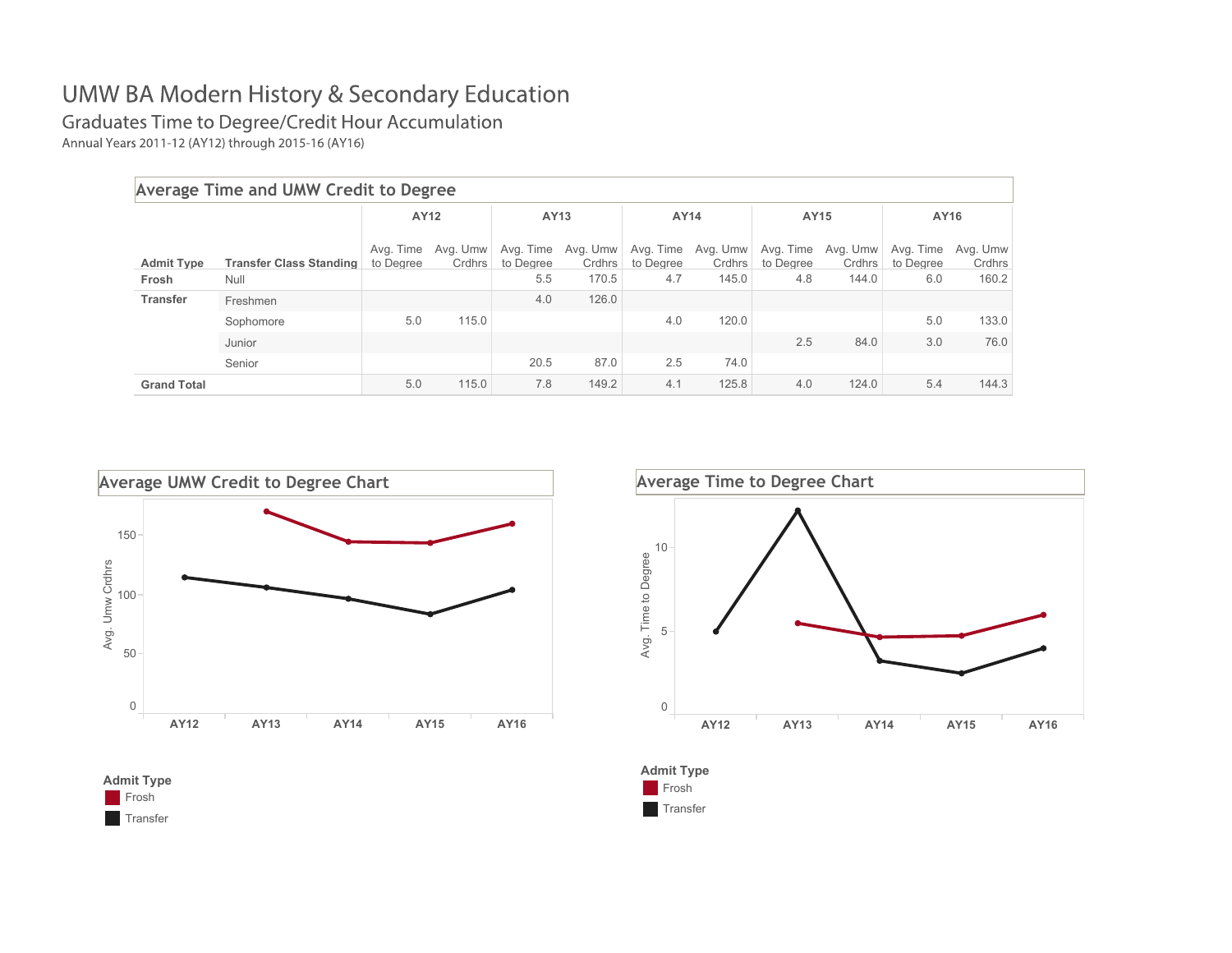Graduates Time to Degree/Credit Hour Accumulation

Annual Years 2011-12 (AY12) through 2015-16 (AY16)

|                    | Average Time and UMW Credit to Degree |                        |                    |                        |                    |                        |                    |                        |                    |                        |                    |  |  |
|--------------------|---------------------------------------|------------------------|--------------------|------------------------|--------------------|------------------------|--------------------|------------------------|--------------------|------------------------|--------------------|--|--|
|                    |                                       |                        | AY12               |                        | AY13               |                        | AY14               |                        | AY15               | AY16                   |                    |  |  |
| <b>Admit Type</b>  | <b>Transfer Class Standing</b>        | Avg. Time<br>to Degree | Avg. Umw<br>Crdhrs | Avg. Time<br>to Degree | Avg. Umw<br>Crdhrs | Avg. Time<br>to Degree | Avg. Umw<br>Crdhrs | Avg. Time<br>to Degree | Avg. Umw<br>Crdhrs | Avg. Time<br>to Degree | Avg. Umw<br>Crdhrs |  |  |
| Frosh              | Null                                  |                        |                    | 5.5                    | 170.5              | 4.7                    | 145.0              | 4.8                    | 144.0              | 6.0                    | 160.2              |  |  |
| <b>Transfer</b>    | Freshmen                              |                        |                    | 4.0                    | 126.0              |                        |                    |                        |                    |                        |                    |  |  |
|                    | Sophomore                             | 5.0                    | 115.0              |                        |                    | 4.0                    | 120.0              |                        |                    | 5.0                    | 133.0              |  |  |
|                    | Junior                                |                        |                    |                        |                    |                        |                    | 2.5                    | 84.0               | 3.0                    | 76.0               |  |  |
|                    | Senior                                |                        |                    | 20.5                   | 87.0               | 2.5                    | 74.0               |                        |                    |                        |                    |  |  |
| <b>Grand Total</b> |                                       | 5.0                    | 115.0              | 7.8                    | 149.2              | 4.1                    | 125.8              | 4.0                    | 124.0              | 5.4                    | 144.3              |  |  |







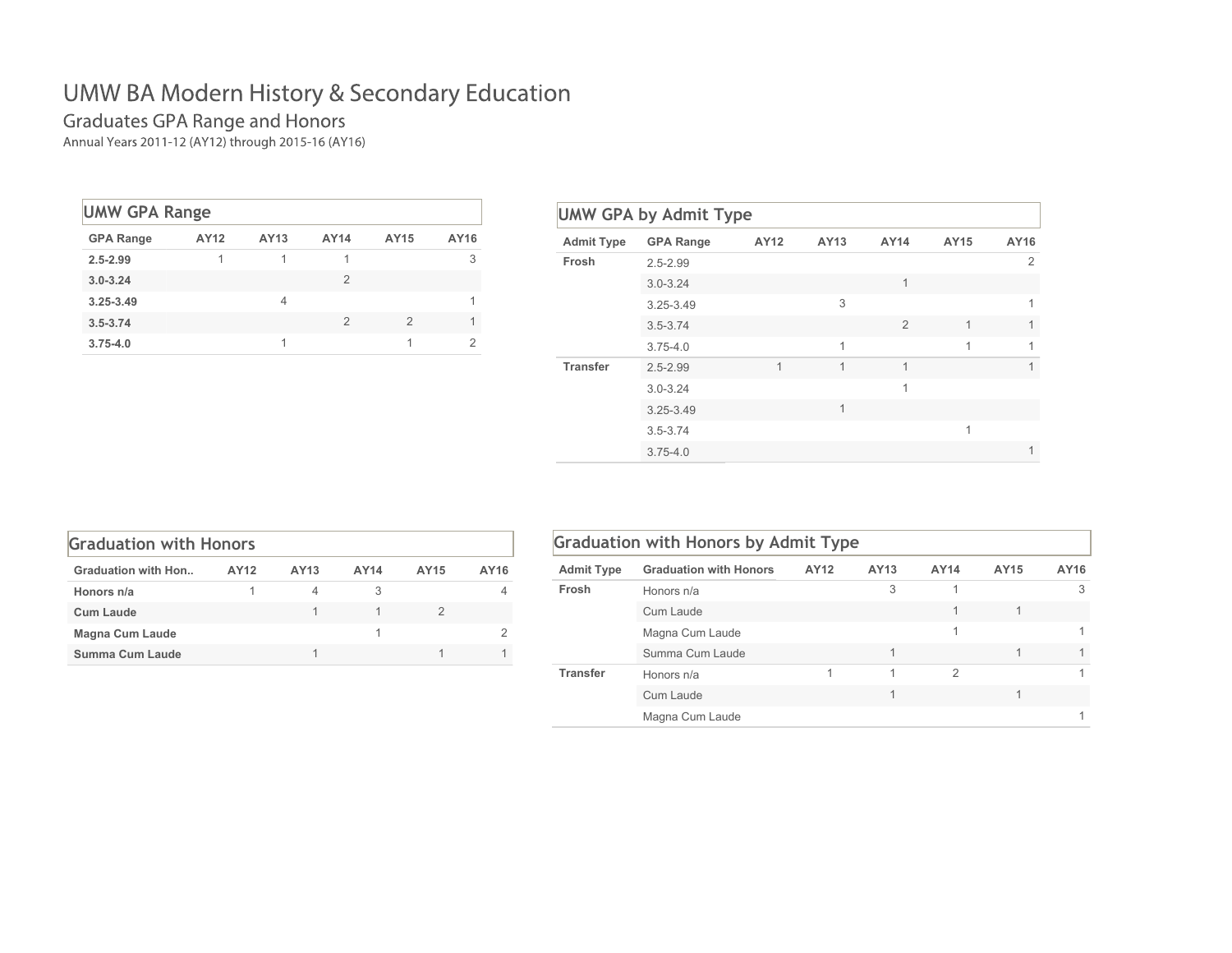# Graduates GPA Range and Honors<br>Annual Years 2011-12 (AY12) through 2015-16 (AY16)

| <b>UMW GPA Range</b> |      |      |      |      |      |  |  |  |  |  |  |  |
|----------------------|------|------|------|------|------|--|--|--|--|--|--|--|
| <b>GPA Range</b>     | AY12 | AY13 | AY14 | AY15 | AY16 |  |  |  |  |  |  |  |
| $2.5 - 2.99$         | 1    | 1    |      |      | 3    |  |  |  |  |  |  |  |
| $3.0 - 3.24$         |      |      | 2    |      |      |  |  |  |  |  |  |  |
| $3.25 - 3.49$        |      | 4    |      |      |      |  |  |  |  |  |  |  |
| $3.5 - 3.74$         |      |      | 2    | 2    |      |  |  |  |  |  |  |  |
| $3.75 - 4.0$         |      |      |      |      | っ    |  |  |  |  |  |  |  |

| <b>Admit Type</b> | <b>GPA Range</b> | AY12 | AY13 | AY14           | AY15         | AY16 |
|-------------------|------------------|------|------|----------------|--------------|------|
| Frosh             | $2.5 - 2.99$     |      |      |                |              | 2    |
|                   | $3.0 - 3.24$     |      |      | 1              |              |      |
|                   | $3.25 - 3.49$    |      | 3    |                |              | 1    |
|                   | $3.5 - 3.74$     |      |      | $\overline{2}$ | $\mathbf{1}$ | 1    |
|                   | $3.75 - 4.0$     |      | 1    |                | 1            | 1    |
| <b>Transfer</b>   | $2.5 - 2.99$     | 1    | 1    | 1              |              | 1    |
|                   | $3.0 - 3.24$     |      |      | 1              |              |      |
|                   | 3.25-3.49        |      | 1    |                |              |      |
|                   | $3.5 - 3.74$     |      |      |                | 1            |      |
|                   | $3.75 - 4.0$     |      |      |                |              | 1    |

| <b>Graduation with Honors</b> |      |      |      |      |      |  |  |  |  |  |  |  |
|-------------------------------|------|------|------|------|------|--|--|--|--|--|--|--|
| <b>Graduation with Hon</b>    | AY12 | AY13 | AY14 | AY15 | AY16 |  |  |  |  |  |  |  |
| Honors n/a                    |      | 4    |      |      |      |  |  |  |  |  |  |  |
| <b>Cum Laude</b>              |      |      |      |      |      |  |  |  |  |  |  |  |
| <b>Magna Cum Laude</b>        |      |      |      |      |      |  |  |  |  |  |  |  |
| Summa Cum Laude               |      |      |      |      |      |  |  |  |  |  |  |  |

|                   | <b>Graduation with Honors by Admit Type</b> |      |      |               |      |      |
|-------------------|---------------------------------------------|------|------|---------------|------|------|
| <b>Admit Type</b> | <b>Graduation with Honors</b>               | AY12 | AY13 | AY14          | AY15 | AY16 |
| Frosh             | Honors n/a                                  |      | 3    |               |      | 3    |
|                   | Cum Laude                                   |      |      | 1             |      |      |
|                   | Magna Cum Laude                             |      |      | 1             |      |      |
|                   | Summa Cum Laude                             |      |      |               |      |      |
| <b>Transfer</b>   | Honors n/a                                  |      | 1    | $\mathcal{P}$ |      |      |
|                   | Cum Laude                                   |      |      |               |      |      |
|                   | Magna Cum Laude                             |      |      |               |      |      |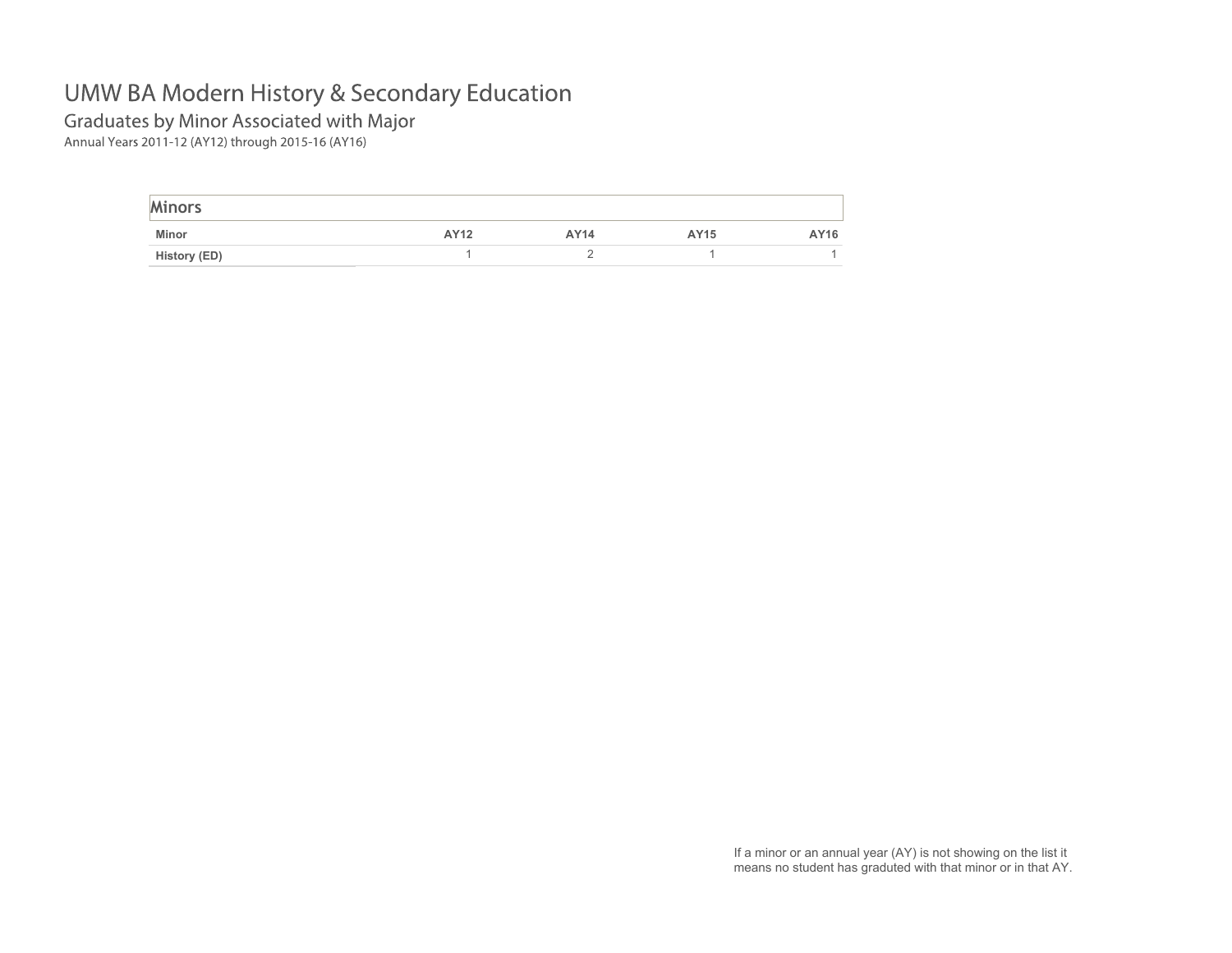Graduates by Minor Associated with Major

Annual Years 2011-12 (AY12) through 2015-16 (AY16)

| <b>Minors</b> |      |      |      |      |
|---------------|------|------|------|------|
| Minor         | AY12 | AY14 | AY15 | AY16 |
| History (ED)  |      |      |      |      |

If a minor or an annual year (AY) is not showing on the list it means no student has graduted with that minor or in that AY.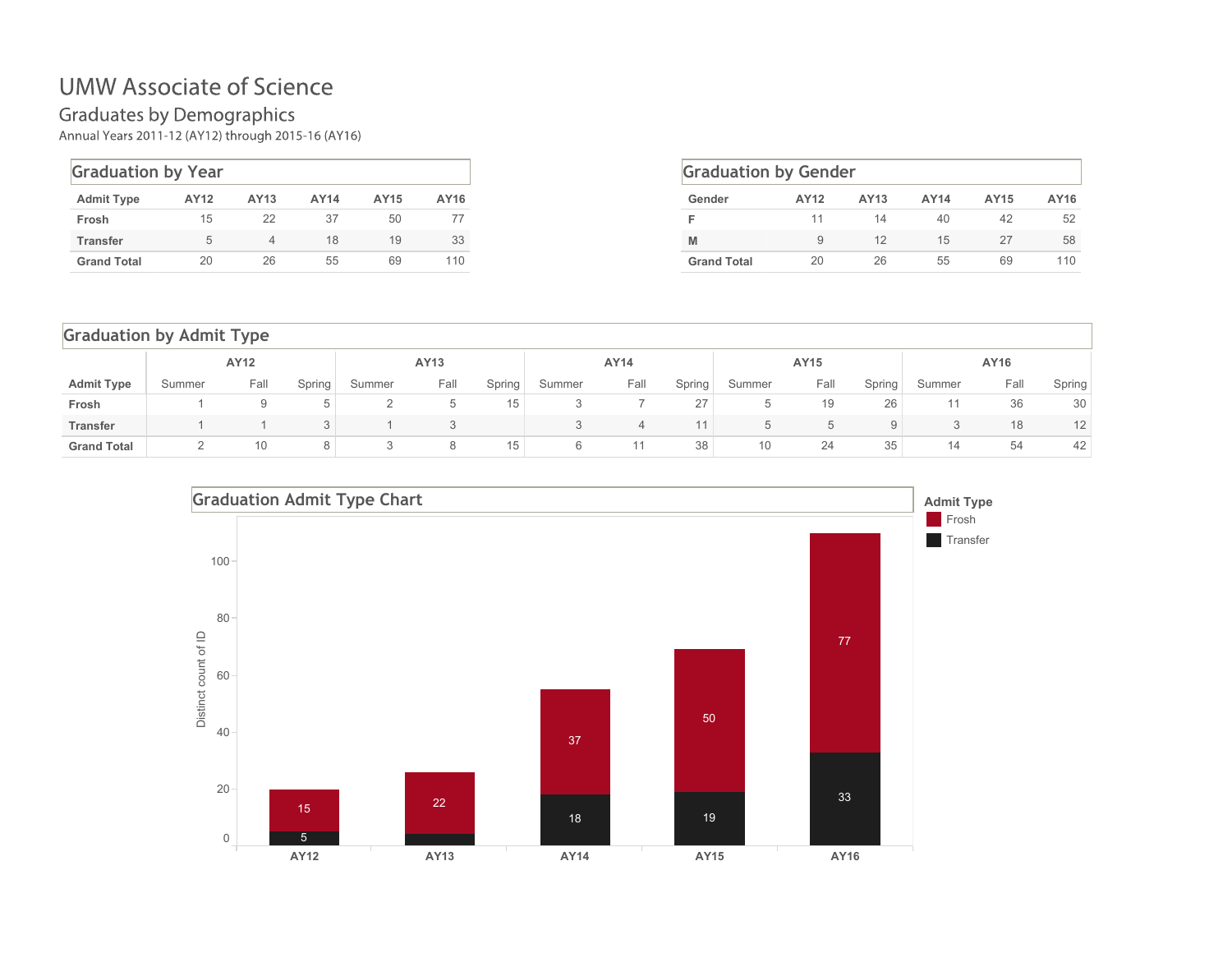#### **UMW Associate of Science**

Graduates by Demographics<br>Annual Years 2011-12 (AY12) through 2015-16 (AY16)

| <b>Graduation by Year</b> |      |      |      |      |      |  |  |  |  |  |  |  |
|---------------------------|------|------|------|------|------|--|--|--|--|--|--|--|
| <b>Admit Type</b>         | AY12 | AY13 | AY14 | AY15 | AY16 |  |  |  |  |  |  |  |
| Frosh                     | 15   | 22   | 37   | 50   | 77   |  |  |  |  |  |  |  |
| <b>Transfer</b>           | 5    | 4    | 18   | 19   | 33   |  |  |  |  |  |  |  |
| <b>Grand Total</b>        | 20   | 26   | 55   | 69   | 110  |  |  |  |  |  |  |  |

| <b>Graduation by Gender</b> |      |      |      |      |      |  |  |  |  |  |  |
|-----------------------------|------|------|------|------|------|--|--|--|--|--|--|
| Gender                      | AY12 | AY13 | AY14 | AY15 | AY16 |  |  |  |  |  |  |
|                             | 11   | 14   | 40   | 42   | 52   |  |  |  |  |  |  |
| M                           | 9    | 12   | 15   | 27   | 58   |  |  |  |  |  |  |
| <b>Grand Total</b>          | 20   | 26   | 55   | 69   | 110  |  |  |  |  |  |  |

#### Graduation by Admit Type

|                    | AY12   |      |        | AY13   |      | AY14   |        | AY15 |        |        | AY16 |        |        |      |        |
|--------------------|--------|------|--------|--------|------|--------|--------|------|--------|--------|------|--------|--------|------|--------|
| <b>Admit Type</b>  | Summer | Fall | Spring | Summer | Fall | Spring | Summer | Fall | Spring | Summer | Fall | Spring | Summer | Fall | Spring |
| Frosh              |        |      |        |        | ◡    | 15     |        |      | 27     |        | 19   | 26     |        | 36   | 30     |
| <b>Transfer</b>    |        |      |        |        |      |        |        | 4    | 11     |        |      | 9      |        | 18   | 12     |
| <b>Grand Total</b> |        | 10   |        |        | 8    | 15     | 6      |      | 38     | 10     | 24   | 35     | 14     | 54   | 42     |

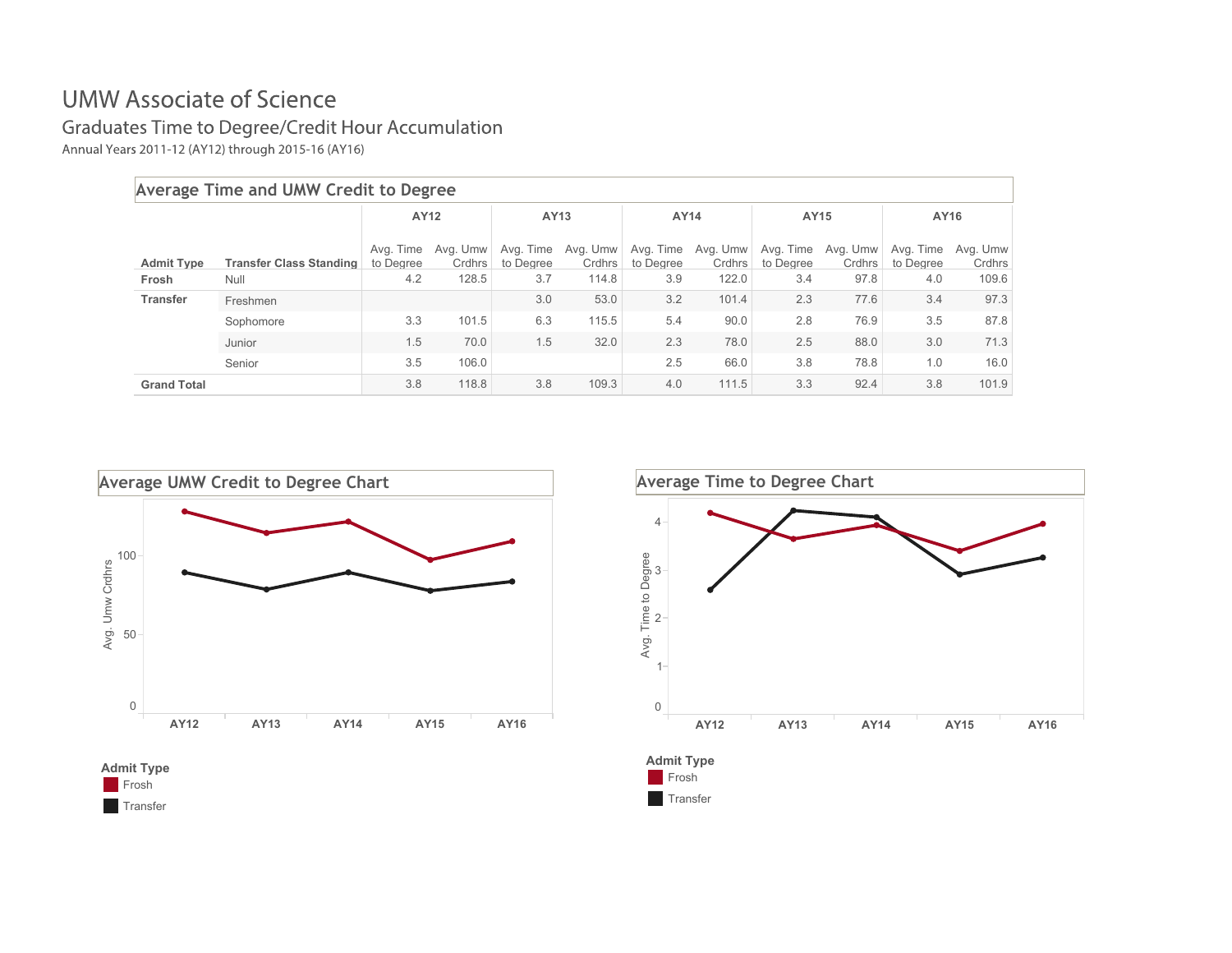#### **UMW Associate of Science**

#### Graduates Time to Degree/Credit Hour Accumulation

Annual Years 2011-12 (AY12) through 2015-16 (AY16)

| Average Time and UMW Credit to Degree |                                |                        |                    |                        |                    |                        |                    |                        |                    |                        |                    |
|---------------------------------------|--------------------------------|------------------------|--------------------|------------------------|--------------------|------------------------|--------------------|------------------------|--------------------|------------------------|--------------------|
|                                       |                                | AY12                   |                    | AY13                   |                    | AY14                   |                    | AY15                   |                    | AY16                   |                    |
| <b>Admit Type</b>                     | <b>Transfer Class Standing</b> | Avg. Time<br>to Degree | Ava. Umw<br>Crdhrs | Avg. Time<br>to Degree | Avg. Umw<br>Crdhrs | Avg. Time<br>to Degree | Avg. Umw<br>Crdhrs | Avg. Time<br>to Degree | Avg. Umw<br>Crdhrs | Ava. Time<br>to Degree | Ava. Umw<br>Crdhrs |
| Frosh                                 | Null                           | 4.2                    | 128.5              | 3.7                    | 114.8              | 3.9                    | 122.0              | 3.4                    | 97.8               | 4.0                    | 109.6              |
| <b>Transfer</b>                       | Freshmen                       |                        |                    | 3.0                    | 53.0               | 3.2                    | 101.4              | 2.3                    | 77.6               | 3.4                    | 97.3               |
|                                       | Sophomore                      | 3.3                    | 101.5              | 6.3                    | 115.5              | 5.4                    | 90.0               | 2.8                    | 76.9               | 3.5                    | 87.8               |
|                                       | Junior                         | 1.5                    | 70.0               | 1.5                    | 32.0               | 2.3                    | 78.0               | 2.5                    | 88.0               | 3.0                    | 71.3               |
|                                       | Senior                         | 3.5                    | 106.0              |                        |                    | 2.5                    | 66.0               | 3.8                    | 78.8               | 1.0                    | 16.0               |
| <b>Grand Total</b>                    |                                | 3.8                    | 118.8              | 3.8                    | 109.3              | 4.0                    | 111.5              | 3.3                    | 92.4               | 3.8                    | 101.9              |





**Frosh Transfer** 



**Transfer**